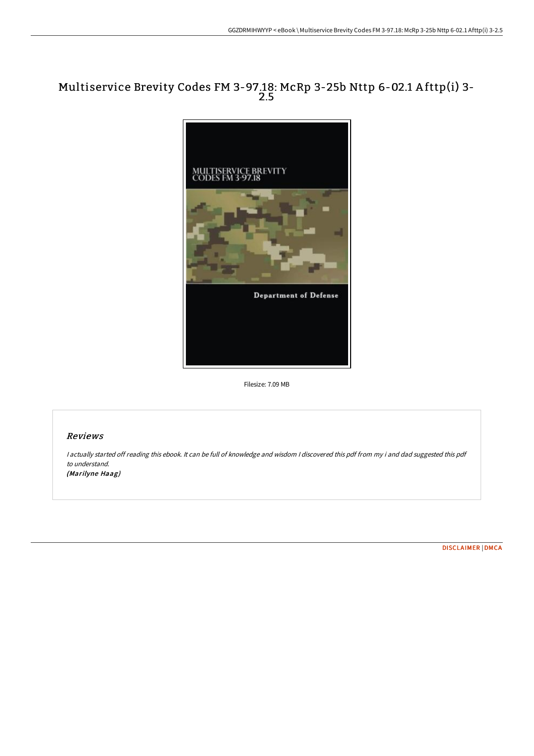## Multiservice Brevity Codes FM 3-97.18: McRp 3-25b Nttp 6-02.1 A fttp(i) 3- 2.5



Filesize: 7.09 MB

## Reviews

<sup>I</sup> actually started off reading this ebook. It can be full of knowledge and wisdom <sup>I</sup> discovered this pdf from my i and dad suggested this pdf to understand. (Marilyne Haag)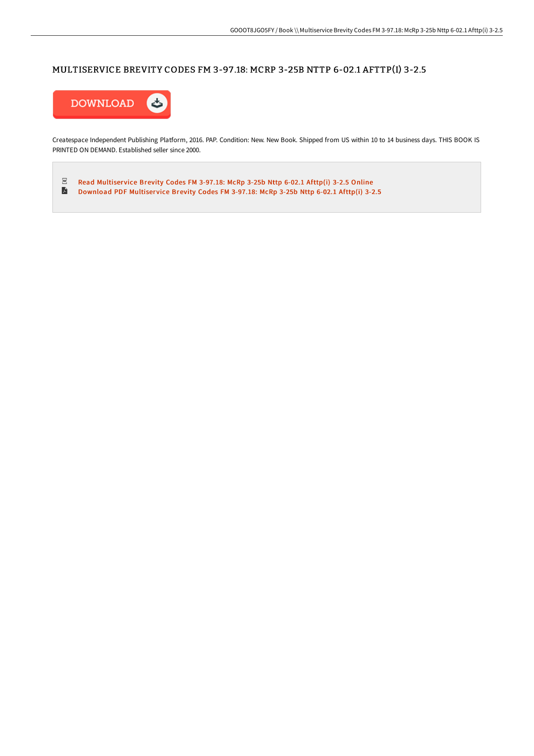## MULTISERVICE BREVITY CODES FM 3-97 .18: MCRP 3-25B NTTP 6-02.1 AFTTP(I) 3-2.5



Createspace Independent Publishing Platform, 2016. PAP. Condition: New. New Book. Shipped from US within 10 to 14 business days. THIS BOOK IS PRINTED ON DEMAND. Established seller since 2000.

 $_{\rm PDF}$ Read [Multiser](http://digilib.live/multiservice-brevity-codes-fm-3-97-18-mcrp-3-25b.html)vice Brevity Codes FM 3-97.18: McRp 3-25b Nttp 6-02.1 Afttp(i) 3-2.5 Online  $\blacksquare$ [Download](http://digilib.live/multiservice-brevity-codes-fm-3-97-18-mcrp-3-25b.html) PDF Multiservice Brevity Codes FM 3-97.18: McRp 3-25b Nttp 6-02.1 Afttp(i) 3-2.5